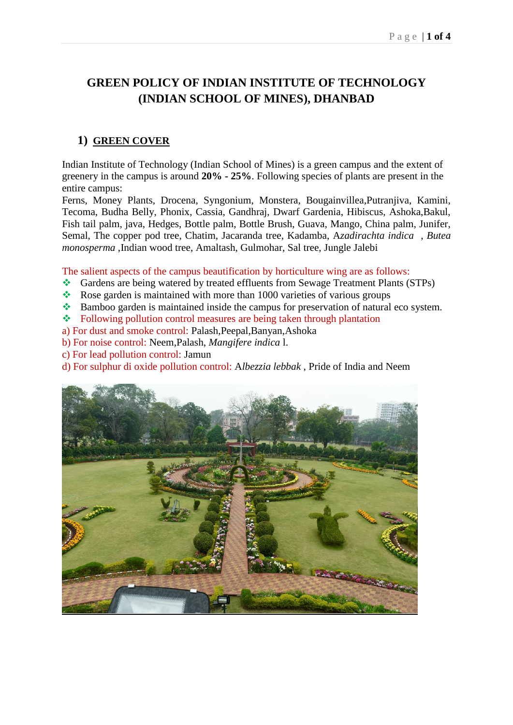# **GREEN POLICY OF INDIAN INSTITUTE OF TECHNOLOGY (INDIAN SCHOOL OF MINES), DHANBAD**

# **1) GREEN COVER**

Indian Institute of Technology (Indian School of Mines) is a green campus and the extent of greenery in the campus is around **20% - 25%**. Following species of plants are present in the entire campus:

Ferns, Money Plants, Drocena, Syngonium, Monstera, Bougainvillea,Putranjiva, Kamini, Tecoma, Budha Belly, Phonix, Cassia, Gandhraj, Dwarf Gardenia, Hibiscus, Ashoka,Bakul, Fish tail palm, java, Hedges, Bottle palm, Bottle Brush, Guava, Mango, China palm, Junifer, Semal, The copper pod tree, Chatim, Jacaranda tree, Kadamba, A*zadirachta indica* , *Butea monosperma* ,Indian wood tree, Amaltash, Gulmohar, Sal tree, Jungle Jalebi

The salient aspects of the campus beautification by horticulture wing are as follows:

- Gardens are being watered by treated effluents from Sewage Treatment Plants (STPs)
- $\cdot$  Rose garden is maintained with more than 1000 varieties of various groups
- Bamboo garden is maintained inside the campus for preservation of natural eco system.
- $\div$  Following pollution control measures are being taken through plantation
- a) For dust and smoke control: Palash,Peepal,Banyan,Ashoka
- b) For noise control: Neem,Palash, *Mangifere indica* l.
- c) For lead pollution control: Jamun
- d) For sulphur di oxide pollution control: A*lbezzia lebbak* , Pride of India and Neem

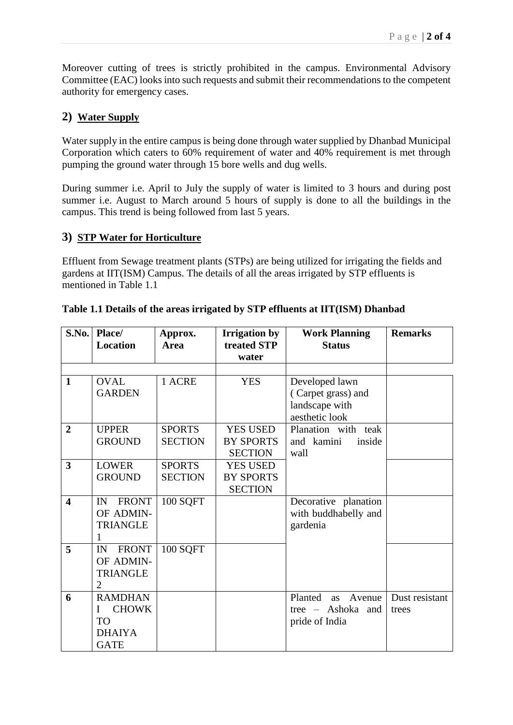Moreover cutting of trees is strictly prohibited in the campus. Environmental Advisory Committee (EAC) looks into such requests and submit their recommendations to the competent authority for emergency cases.

# **2) Water Supply**

Water supply in the entire campus is being done through water supplied by Dhanbad Municipal Corporation which caters to 60% requirement of water and 40% requirement is met through pumping the ground water through 15 bore wells and dug wells.

During summer i.e. April to July the supply of water is limited to 3 hours and during post summer i.e. August to March around 5 hours of supply is done to all the buildings in the campus. This trend is being followed from last 5 years.

## **3) STP Water for Horticulture**

Effluent from Sewage treatment plants (STPs) are being utilized for irrigating the fields and gardens at IIT(ISM) Campus. The details of all the areas irrigated by STP effluents is mentioned in Table 1.1

| S.No.                   | Place/             | Approx.         | <b>Irrigation by</b> | <b>Work Planning</b>    | <b>Remarks</b> |
|-------------------------|--------------------|-----------------|----------------------|-------------------------|----------------|
|                         | Location           | <b>Area</b>     | treated STP          | <b>Status</b>           |                |
|                         |                    |                 | water                |                         |                |
|                         |                    |                 |                      |                         |                |
| $\mathbf{1}$            | <b>OVAL</b>        | 1 ACRE          | <b>YES</b>           | Developed lawn          |                |
|                         | <b>GARDEN</b>      |                 |                      | (Carpet grass) and      |                |
|                         |                    |                 |                      | landscape with          |                |
|                         |                    |                 |                      | aesthetic look          |                |
| $\overline{2}$          | <b>UPPER</b>       | <b>SPORTS</b>   | <b>YES USED</b>      | Planation with teak     |                |
|                         | <b>GROUND</b>      | <b>SECTION</b>  | <b>BY SPORTS</b>     | and kamini<br>inside    |                |
|                         |                    |                 | <b>SECTION</b>       | wall                    |                |
| 3                       | <b>LOWER</b>       | <b>SPORTS</b>   | <b>YES USED</b>      |                         |                |
|                         | <b>GROUND</b>      | <b>SECTION</b>  | <b>BY SPORTS</b>     |                         |                |
|                         |                    |                 | <b>SECTION</b>       |                         |                |
| $\overline{\mathbf{4}}$ | <b>FRONT</b><br>IN | <b>100 SQFT</b> |                      | Decorative planation    |                |
|                         | OF ADMIN-          |                 |                      | with buddhabelly and    |                |
|                         | <b>TRIANGLE</b>    |                 |                      | gardenia                |                |
|                         | 1                  |                 |                      |                         |                |
| 5                       | <b>FRONT</b><br>IN | <b>100 SQFT</b> |                      |                         |                |
|                         | OF ADMIN-          |                 |                      |                         |                |
|                         | <b>TRIANGLE</b>    |                 |                      |                         |                |
|                         | 2                  |                 |                      |                         |                |
| 6                       | <b>RAMDHAN</b>     |                 |                      | Planted<br>Avenue<br>as | Dust resistant |
|                         | <b>CHOWK</b><br>I  |                 |                      | tree – Ashoka and       | trees          |
|                         | TO                 |                 |                      | pride of India          |                |
|                         | <b>DHAIYA</b>      |                 |                      |                         |                |
|                         | <b>GATE</b>        |                 |                      |                         |                |

## **Table 1.1 Details of the areas irrigated by STP effluents at IIT(ISM) Dhanbad**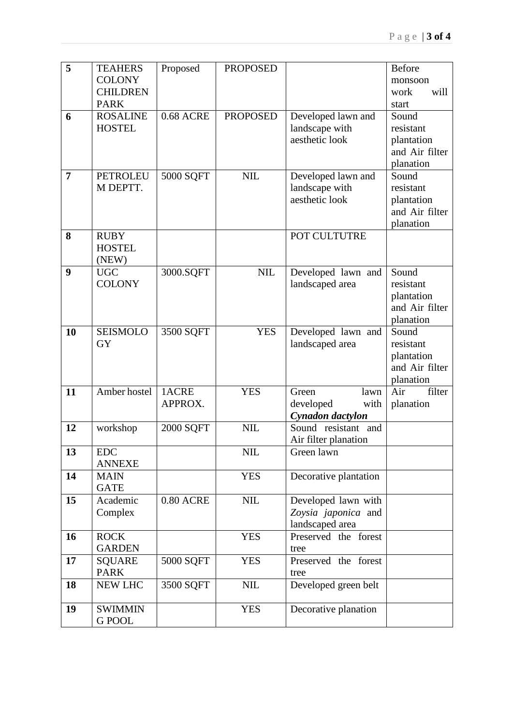| 5              | <b>TEAHERS</b>  | Proposed         | <b>PROPOSED</b> |                       | <b>Before</b>                |
|----------------|-----------------|------------------|-----------------|-----------------------|------------------------------|
|                | <b>COLONY</b>   |                  |                 |                       | monsoon                      |
|                | <b>CHILDREN</b> |                  |                 |                       | will<br>work                 |
|                | <b>PARK</b>     |                  |                 |                       | start                        |
| 6              | <b>ROSALINE</b> | <b>0.68 ACRE</b> | <b>PROPOSED</b> | Developed lawn and    | Sound                        |
|                | <b>HOSTEL</b>   |                  |                 | landscape with        | resistant                    |
|                |                 |                  |                 | aesthetic look        | plantation                   |
|                |                 |                  |                 |                       | and Air filter               |
|                |                 |                  |                 |                       | planation                    |
| $\overline{7}$ | <b>PETROLEU</b> | 5000 SQFT        | <b>NIL</b>      | Developed lawn and    | Sound                        |
|                | M DEPTT.        |                  |                 | landscape with        | resistant                    |
|                |                 |                  |                 | aesthetic look        | plantation                   |
|                |                 |                  |                 |                       | and Air filter               |
|                |                 |                  |                 |                       | planation                    |
| 8              | <b>RUBY</b>     |                  |                 | POT CULTUTRE          |                              |
|                | <b>HOSTEL</b>   |                  |                 |                       |                              |
|                | (NEW)           |                  |                 |                       |                              |
| 9              | <b>UGC</b>      | 3000.SQFT        | NIL             | Developed lawn and    | Sound                        |
|                | <b>COLONY</b>   |                  |                 | landscaped area       | resistant                    |
|                |                 |                  |                 |                       | plantation                   |
|                |                 |                  |                 |                       | and Air filter               |
|                |                 |                  |                 |                       | planation                    |
| 10             | <b>SEISMOLO</b> | 3500 SQFT        | <b>YES</b>      | Developed lawn and    | Sound                        |
|                | <b>GY</b>       |                  |                 | landscaped area       | resistant                    |
|                |                 |                  |                 |                       | plantation<br>and Air filter |
|                |                 |                  |                 |                       | planation                    |
| 11             | Amber hostel    | 1ACRE            | <b>YES</b>      | Green<br>lawn         | Air<br>filter                |
|                |                 | APPROX.          |                 | developed<br>with     | planation                    |
|                |                 |                  |                 | Cynadon dactylon      |                              |
| 12             | workshop        | 2000 SQFT        | <b>NIL</b>      | Sound resistant and   |                              |
|                |                 |                  |                 | Air filter planation  |                              |
| 13             | <b>EDC</b>      |                  | <b>NIL</b>      | Green lawn            |                              |
|                | <b>ANNEXE</b>   |                  |                 |                       |                              |
| 14             | <b>MAIN</b>     |                  | <b>YES</b>      | Decorative plantation |                              |
|                | <b>GATE</b>     |                  |                 |                       |                              |
| 15             | Academic        | $0.80$ ACRE      | $\text{NIL}$    | Developed lawn with   |                              |
|                | Complex         |                  |                 | Zoysia japonica and   |                              |
|                |                 |                  |                 | landscaped area       |                              |
| 16             | <b>ROCK</b>     |                  | <b>YES</b>      | Preserved the forest  |                              |
|                | <b>GARDEN</b>   |                  |                 | tree                  |                              |
| 17             | <b>SQUARE</b>   | 5000 SQFT        | <b>YES</b>      | Preserved the forest  |                              |
|                | <b>PARK</b>     |                  |                 | tree                  |                              |
| 18             | <b>NEW LHC</b>  | 3500 SQFT        | $\text{NIL}$    | Developed green belt  |                              |
|                |                 |                  |                 |                       |                              |
| 19             | <b>SWIMMIN</b>  |                  | <b>YES</b>      | Decorative planation  |                              |
|                | <b>G POOL</b>   |                  |                 |                       |                              |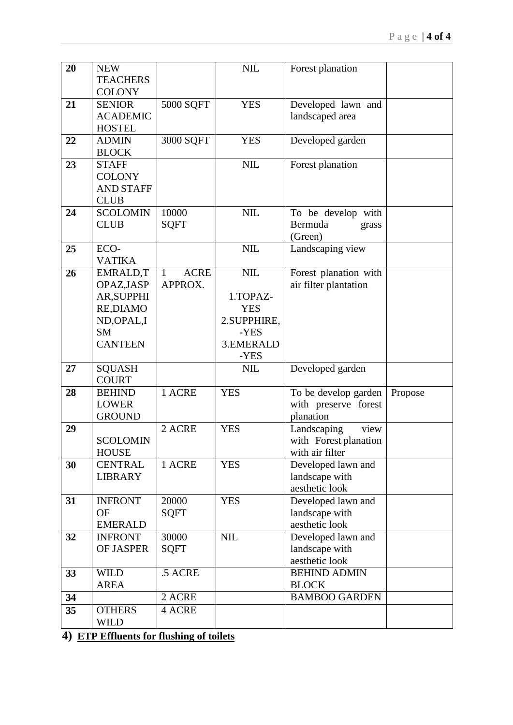| 20 | <b>NEW</b>        |                  | <b>NIL</b>  | Forest planation      |         |
|----|-------------------|------------------|-------------|-----------------------|---------|
|    | <b>TEACHERS</b>   |                  |             |                       |         |
|    | <b>COLONY</b>     |                  |             |                       |         |
| 21 | <b>SENIOR</b>     | 5000 SQFT        | <b>YES</b>  | Developed lawn and    |         |
|    | <b>ACADEMIC</b>   |                  |             | landscaped area       |         |
|    | <b>HOSTEL</b>     |                  |             |                       |         |
| 22 | <b>ADMIN</b>      | 3000 SQFT        | <b>YES</b>  | Developed garden      |         |
|    | <b>BLOCK</b>      |                  |             |                       |         |
| 23 | <b>STAFF</b>      |                  | <b>NIL</b>  |                       |         |
|    | <b>COLONY</b>     |                  |             | Forest planation      |         |
|    | <b>AND STAFF</b>  |                  |             |                       |         |
|    |                   |                  |             |                       |         |
|    | <b>CLUB</b>       |                  |             |                       |         |
| 24 | <b>SCOLOMIN</b>   | 10000            | <b>NIL</b>  | To be develop with    |         |
|    | <b>CLUB</b>       | <b>SQFT</b>      |             | Bermuda<br>grass      |         |
|    |                   |                  |             | (Green)               |         |
| 25 | ECO-              |                  | <b>NIL</b>  | Landscaping view      |         |
|    | <b>VATIKA</b>     |                  |             |                       |         |
| 26 | EMRALD,T          | <b>ACRE</b><br>1 | <b>NIL</b>  | Forest planation with |         |
|    | OPAZ, JASP        | APPROX.          |             | air filter plantation |         |
|    | <b>AR, SUPPHI</b> |                  | 1.TOPAZ-    |                       |         |
|    | RE, DIAMO         |                  | <b>YES</b>  |                       |         |
|    | ND, OPAL, I       |                  | 2.SUPPHIRE, |                       |         |
|    | <b>SM</b>         |                  | -YES        |                       |         |
|    | <b>CANTEEN</b>    |                  | 3.EMERALD   |                       |         |
|    |                   |                  | -YES        |                       |         |
| 27 | <b>SQUASH</b>     |                  | <b>NIL</b>  | Developed garden      |         |
|    | <b>COURT</b>      |                  |             |                       |         |
| 28 | <b>BEHIND</b>     | 1 ACRE           | <b>YES</b>  | To be develop garden  | Propose |
|    | <b>LOWER</b>      |                  |             | with preserve forest  |         |
|    | <b>GROUND</b>     |                  |             | planation             |         |
| 29 |                   | 2 ACRE           | <b>YES</b>  | Landscaping<br>view   |         |
|    | <b>SCOLOMIN</b>   |                  |             | with Forest planation |         |
|    | <b>HOUSE</b>      |                  |             | with air filter       |         |
| 30 | <b>CENTRAL</b>    | 1 ACRE           | <b>YES</b>  | Developed lawn and    |         |
|    | <b>LIBRARY</b>    |                  |             | landscape with        |         |
|    |                   |                  |             | aesthetic look        |         |
| 31 | <b>INFRONT</b>    | 20000            | <b>YES</b>  | Developed lawn and    |         |
|    | <b>OF</b>         | <b>SQFT</b>      |             | landscape with        |         |
|    | <b>EMERALD</b>    |                  |             | aesthetic look        |         |
| 32 | <b>INFRONT</b>    | 30000            | <b>NIL</b>  | Developed lawn and    |         |
|    | OF JASPER         | <b>SQFT</b>      |             | landscape with        |         |
|    |                   |                  |             | aesthetic look        |         |
| 33 | <b>WILD</b>       | .5 ACRE          |             | <b>BEHIND ADMIN</b>   |         |
|    | <b>AREA</b>       |                  |             | <b>BLOCK</b>          |         |
| 34 |                   | 2 ACRE           |             | <b>BAMBOO GARDEN</b>  |         |
| 35 | <b>OTHERS</b>     | 4 ACRE           |             |                       |         |
|    | <b>WILD</b>       |                  |             |                       |         |
|    |                   |                  |             |                       |         |

**4) ETP Effluents for flushing of toilets**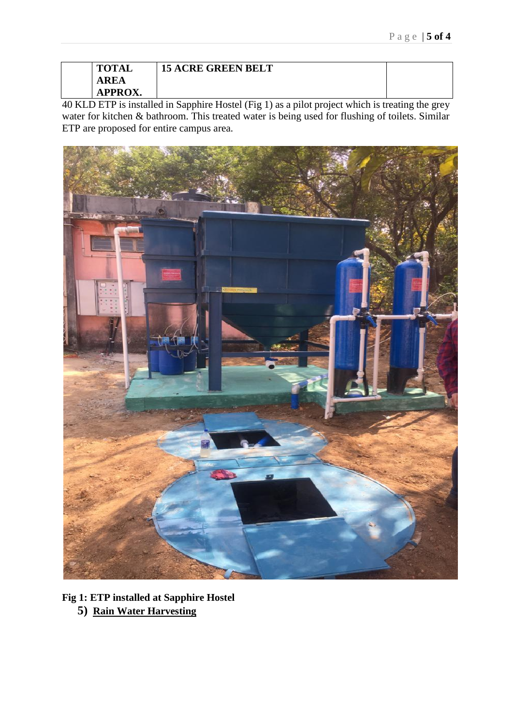| <b>TOTAL</b>   | <b>15 ACRE GREEN BELT</b> |
|----------------|---------------------------|
| A R<br>ЕA      |                           |
| <b>APPROX.</b> |                           |

40 KLD ETP is installed in Sapphire Hostel (Fig 1) as a pilot project which is treating the grey water for kitchen & bathroom. This treated water is being used for flushing of toilets. Similar ETP are proposed for entire campus area.



**Fig 1: ETP installed at Sapphire Hostel**

**5) Rain Water Harvesting**